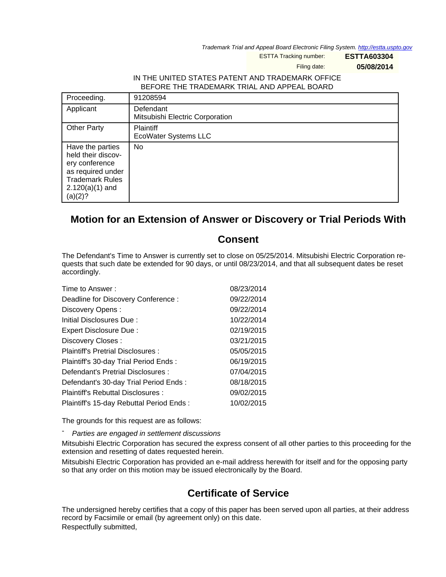Trademark Trial and Appeal Board Electronic Filing System. <http://estta.uspto.gov>

ESTTA Tracking number: **ESTTA603304**

Filing date: **05/08/2014**

## IN THE UNITED STATES PATENT AND TRADEMARK OFFICE BEFORE THE TRADEMARK TRIAL AND APPEAL BOARD

| Proceeding.                                                                                                                             | 91208594                                     |
|-----------------------------------------------------------------------------------------------------------------------------------------|----------------------------------------------|
| Applicant                                                                                                                               | Defendant<br>Mitsubishi Electric Corporation |
| <b>Other Party</b>                                                                                                                      | <b>Plaintiff</b><br>EcoWater Systems LLC     |
| Have the parties<br>held their discov-<br>ery conference<br>as required under<br><b>Trademark Rules</b><br>$2.120(a)(1)$ and<br>(a)(2)? | No                                           |

## **Motion for an Extension of Answer or Discovery or Trial Periods With**

## **Consent**

The Defendant's Time to Answer is currently set to close on 05/25/2014. Mitsubishi Electric Corporation requests that such date be extended for 90 days, or until 08/23/2014, and that all subsequent dates be reset accordingly.

| Time to Answer:                          | 08/23/2014 |
|------------------------------------------|------------|
| Deadline for Discovery Conference:       | 09/22/2014 |
| Discovery Opens:                         | 09/22/2014 |
| Initial Disclosures Due:                 | 10/22/2014 |
| Expert Disclosure Due:                   | 02/19/2015 |
| Discovery Closes:                        | 03/21/2015 |
| Plaintiff's Pretrial Disclosures:        | 05/05/2015 |
| Plaintiff's 30-day Trial Period Ends:    | 06/19/2015 |
| Defendant's Pretrial Disclosures :       | 07/04/2015 |
| Defendant's 30-day Trial Period Ends:    | 08/18/2015 |
| Plaintiff's Rebuttal Disclosures :       | 09/02/2015 |
| Plaintiff's 15-day Rebuttal Period Ends: | 10/02/2015 |

The grounds for this request are as follows:

Parties are engaged in settlement discussions

Mitsubishi Electric Corporation has secured the express consent of all other parties to this proceeding for the extension and resetting of dates requested herein.

Mitsubishi Electric Corporation has provided an e-mail address herewith for itself and for the opposing party so that any order on this motion may be issued electronically by the Board.

## **Certificate of Service**

The undersigned hereby certifies that a copy of this paper has been served upon all parties, at their address record by Facsimile or email (by agreement only) on this date. Respectfully submitted,